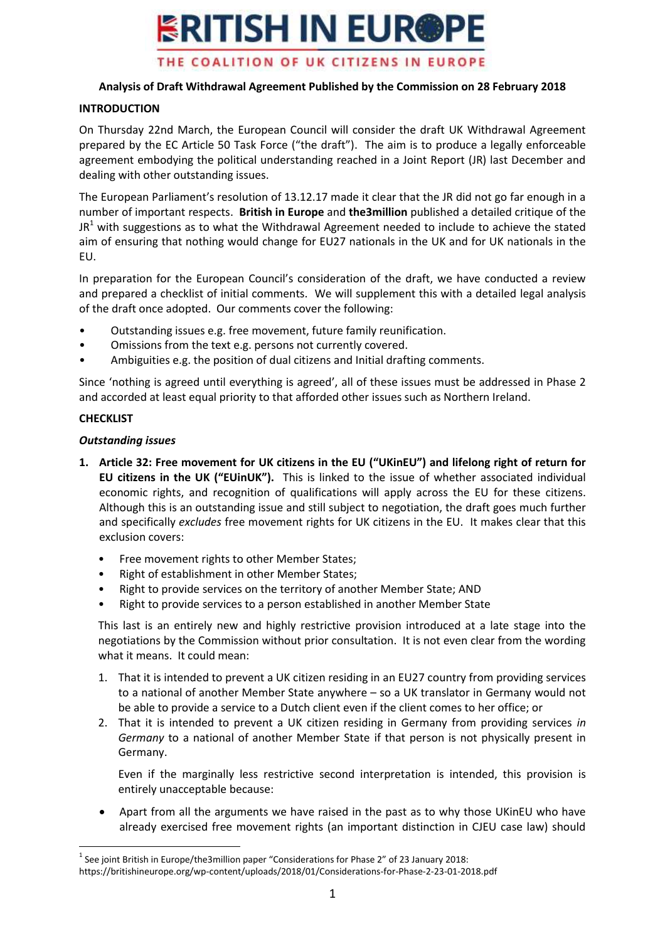

# **Analysis of Draft Withdrawal Agreement Published by the Commission on 28 February 2018**

#### **INTRODUCTION**

On Thursday 22nd March, the European Council will consider the draft UK Withdrawal Agreement prepared by the EC Article 50 Task Force ("the draft"). The aim is to produce a legally enforceable agreement embodying the political understanding reached in a Joint Report (JR) last December and dealing with other outstanding issues.

The European Parliament's resolution of 13.12.17 made it clear that the JR did not go far enough in a number of important respects. **British in Europe** and **the3million** published a detailed critique of the  $JR<sup>1</sup>$  with suggestions as to what the Withdrawal Agreement needed to include to achieve the stated aim of ensuring that nothing would change for EU27 nationals in the UK and for UK nationals in the EU.

In preparation for the European Council's consideration of the draft, we have conducted a review and prepared a checklist of initial comments. We will supplement this with a detailed legal analysis of the draft once adopted. Our comments cover the following:

- Outstanding issues e.g. free movement, future family reunification.
- Omissions from the text e.g. persons not currently covered.
- Ambiguities e.g. the position of dual citizens and Initial drafting comments.

Since 'nothing is agreed until everything is agreed', all of these issues must be addressed in Phase 2 and accorded at least equal priority to that afforded other issues such as Northern Ireland.

#### **CHECKLIST**

## *Outstanding issues*

- **1. Article 32: Free movement for UK citizens in the EU ("UKinEU") and lifelong right of return for EU citizens in the UK ("EUinUK").** This is linked to the issue of whether associated individual economic rights, and recognition of qualifications will apply across the EU for these citizens. Although this is an outstanding issue and still subject to negotiation, the draft goes much further and specifically *excludes* free movement rights for UK citizens in the EU. It makes clear that this exclusion covers:
	- Free movement rights to other Member States;
	- Right of establishment in other Member States;
	- Right to provide services on the territory of another Member State; AND
	- Right to provide services to a person established in another Member State

This last is an entirely new and highly restrictive provision introduced at a late stage into the negotiations by the Commission without prior consultation. It is not even clear from the wording what it means. It could mean:

- 1. That it is intended to prevent a UK citizen residing in an EU27 country from providing services to a national of another Member State anywhere – so a UK translator in Germany would not be able to provide a service to a Dutch client even if the client comes to her office; or
- 2. That it is intended to prevent a UK citizen residing in Germany from providing services *in Germany* to a national of another Member State if that person is not physically present in Germany.

Even if the marginally less restrictive second interpretation is intended, this provision is entirely unacceptable because:

 Apart from all the arguments we have raised in the past as to why those UKinEU who have already exercised free movement rights (an important distinction in CJEU case law) should

 $\overline{a}$  $<sup>1</sup>$  See joint British in Europe/the3million paper "Considerations for Phase 2" of 23 January 2018:</sup> https://britishineurope.org/wp-content/uploads/2018/01/Considerations-for-Phase-2-23-01-2018.pdf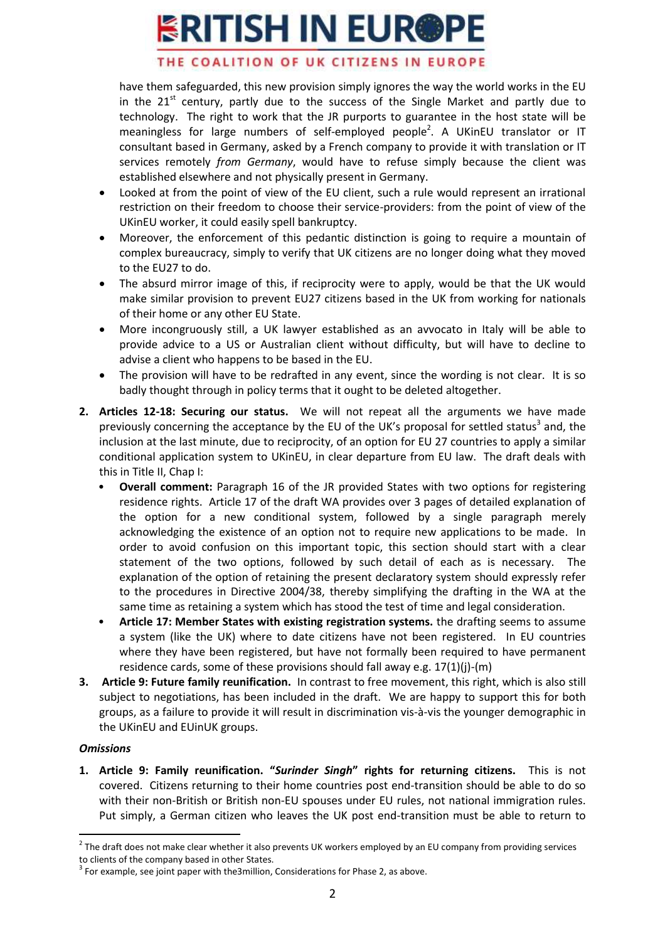# **ERITISH IN EUR@PE**

## THE COALITION OF UK CITIZENS IN EUROPE

have them safeguarded, this new provision simply ignores the way the world works in the EU in the  $21^{st}$  century, partly due to the success of the Single Market and partly due to technology. The right to work that the JR purports to guarantee in the host state will be meaningless for large numbers of self-employed people<sup>2</sup>. A UKinEU translator or IT consultant based in Germany, asked by a French company to provide it with translation or IT services remotely *from Germany*, would have to refuse simply because the client was established elsewhere and not physically present in Germany.

- Looked at from the point of view of the EU client, such a rule would represent an irrational restriction on their freedom to choose their service-providers: from the point of view of the UKinEU worker, it could easily spell bankruptcy.
- Moreover, the enforcement of this pedantic distinction is going to require a mountain of complex bureaucracy, simply to verify that UK citizens are no longer doing what they moved to the EU27 to do.
- The absurd mirror image of this, if reciprocity were to apply, would be that the UK would make similar provision to prevent EU27 citizens based in the UK from working for nationals of their home or any other EU State.
- More incongruously still, a UK lawyer established as an avvocato in Italy will be able to provide advice to a US or Australian client without difficulty, but will have to decline to advise a client who happens to be based in the EU.
- The provision will have to be redrafted in any event, since the wording is not clear. It is so badly thought through in policy terms that it ought to be deleted altogether.
- **2. Articles 12-18: Securing our status.** We will not repeat all the arguments we have made previously concerning the acceptance by the EU of the UK's proposal for settled status<sup>3</sup> and, the inclusion at the last minute, due to reciprocity, of an option for EU 27 countries to apply a similar conditional application system to UKinEU, in clear departure from EU law. The draft deals with this in Title II, Chap I:
	- **Overall comment:** Paragraph 16 of the JR provided States with two options for registering residence rights. Article 17 of the draft WA provides over 3 pages of detailed explanation of the option for a new conditional system, followed by a single paragraph merely acknowledging the existence of an option not to require new applications to be made. In order to avoid confusion on this important topic, this section should start with a clear statement of the two options, followed by such detail of each as is necessary. The explanation of the option of retaining the present declaratory system should expressly refer to the procedures in Directive 2004/38, thereby simplifying the drafting in the WA at the same time as retaining a system which has stood the test of time and legal consideration.
	- **Article 17: Member States with existing registration systems.** the drafting seems to assume a system (like the UK) where to date citizens have not been registered. In EU countries where they have been registered, but have not formally been required to have permanent residence cards, some of these provisions should fall away e.g. 17(1)(j)-(m)
- **3. Article 9: Future family reunification.** In contrast to free movement, this right, which is also still subject to negotiations, has been included in the draft. We are happy to support this for both groups, as a failure to provide it will result in discrimination vis-à-vis the younger demographic in the UKinEU and EUinUK groups.

#### *Omissions*

 $\overline{a}$ 

**1. Article 9: Family reunification. "***Surinder Singh***" rights for returning citizens.** This is not covered. Citizens returning to their home countries post end-transition should be able to do so with their non-British or British non-EU spouses under EU rules, not national immigration rules. Put simply, a German citizen who leaves the UK post end-transition must be able to return to

 $2$  The draft does not make clear whether it also prevents UK workers employed by an EU company from providing services to clients of the company based in other States.

 $3$  For example, see joint paper with the3million, Considerations for Phase 2, as above.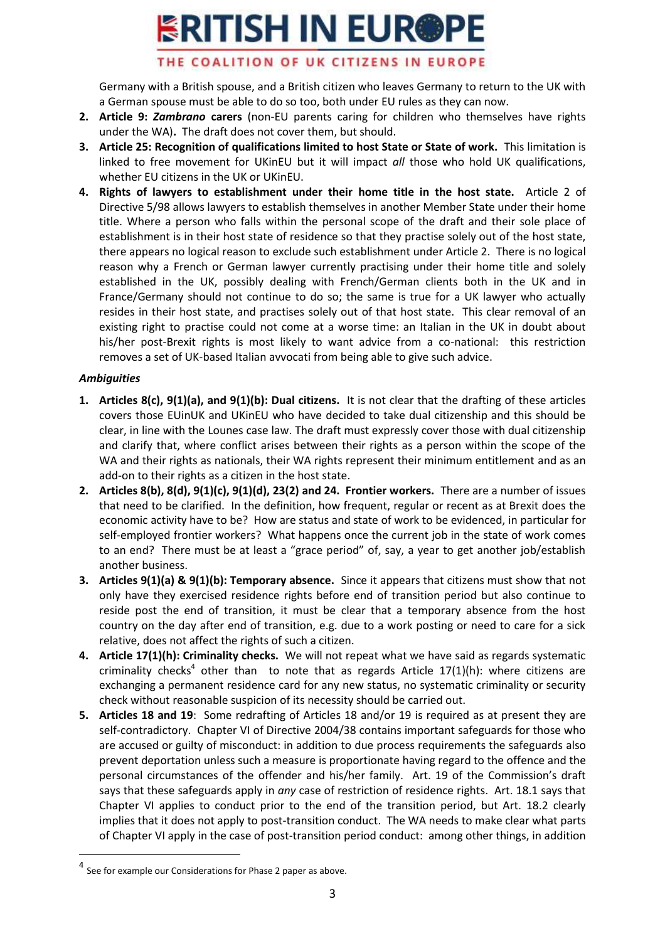# **ERITISH IN EUR@PE**

# THE COALITION OF UK CITIZENS IN EUROPE

Germany with a British spouse, and a British citizen who leaves Germany to return to the UK with a German spouse must be able to do so too, both under EU rules as they can now.

- **2. Article 9:** *Zambrano* **carers** (non-EU parents caring for children who themselves have rights under the WA)**.** The draft does not cover them, but should.
- **3. Article 25: Recognition of qualifications limited to host State or State of work.** This limitation is linked to free movement for UKinEU but it will impact *all* those who hold UK qualifications, whether EU citizens in the UK or UKinEU.
- **4. Rights of lawyers to establishment under their home title in the host state.** Article 2 of Directive 5/98 allows lawyers to establish themselves in another Member State under their home title. Where a person who falls within the personal scope of the draft and their sole place of establishment is in their host state of residence so that they practise solely out of the host state, there appears no logical reason to exclude such establishment under Article 2. There is no logical reason why a French or German lawyer currently practising under their home title and solely established in the UK, possibly dealing with French/German clients both in the UK and in France/Germany should not continue to do so; the same is true for a UK lawyer who actually resides in their host state, and practises solely out of that host state. This clear removal of an existing right to practise could not come at a worse time: an Italian in the UK in doubt about his/her post-Brexit rights is most likely to want advice from a co-national: this restriction removes a set of UK-based Italian avvocati from being able to give such advice.

# *Ambiguities*

 $\overline{a}$ 

- **1. Articles 8(c), 9(1)(a), and 9(1)(b): Dual citizens.** It is not clear that the drafting of these articles covers those EUinUK and UKinEU who have decided to take dual citizenship and this should be clear, in line with the Lounes case law. The draft must expressly cover those with dual citizenship and clarify that, where conflict arises between their rights as a person within the scope of the WA and their rights as nationals, their WA rights represent their minimum entitlement and as an add-on to their rights as a citizen in the host state.
- **2. Articles 8(b), 8(d), 9(1)(c), 9(1)(d), 23(2) and 24. Frontier workers.** There are a number of issues that need to be clarified. In the definition, how frequent, regular or recent as at Brexit does the economic activity have to be? How are status and state of work to be evidenced, in particular for self-employed frontier workers? What happens once the current job in the state of work comes to an end? There must be at least a "grace period" of, say, a year to get another job/establish another business.
- **3. Articles 9(1)(a) & 9(1)(b): Temporary absence.** Since it appears that citizens must show that not only have they exercised residence rights before end of transition period but also continue to reside post the end of transition, it must be clear that a temporary absence from the host country on the day after end of transition, e.g. due to a work posting or need to care for a sick relative, does not affect the rights of such a citizen.
- **4. Article 17(1)(h): Criminality checks.** We will not repeat what we have said as regards systematic criminality checks<sup>4</sup> other than to note that as regards Article 17(1)(h): where citizens are exchanging a permanent residence card for any new status, no systematic criminality or security check without reasonable suspicion of its necessity should be carried out.
- **5. Articles 18 and 19**: Some redrafting of Articles 18 and/or 19 is required as at present they are self-contradictory. Chapter VI of Directive 2004/38 contains important safeguards for those who are accused or guilty of misconduct: in addition to due process requirements the safeguards also prevent deportation unless such a measure is proportionate having regard to the offence and the personal circumstances of the offender and his/her family. Art. 19 of the Commission's draft says that these safeguards apply in *any* case of restriction of residence rights. Art. 18.1 says that Chapter VI applies to conduct prior to the end of the transition period, but Art. 18.2 clearly implies that it does not apply to post-transition conduct. The WA needs to make clear what parts of Chapter VI apply in the case of post-transition period conduct: among other things, in addition

 $4$  See for example our Considerations for Phase 2 paper as above.